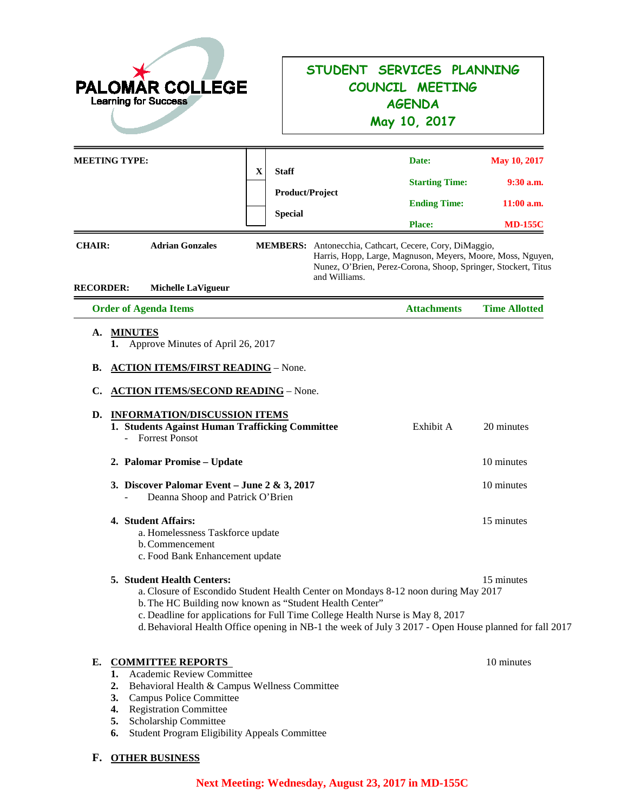| <b>PALOMAR COLLEGE</b><br><b>Learning for Success</b>                                                                                                                                                                                                                                                                                                                   |                                                                                                                                      | STUDENT SERVICES PLANNING<br>COUNCIL MEETING<br><b>AGENDA</b><br>May 10, 2017                                                                                                                           |                                                               |
|-------------------------------------------------------------------------------------------------------------------------------------------------------------------------------------------------------------------------------------------------------------------------------------------------------------------------------------------------------------------------|--------------------------------------------------------------------------------------------------------------------------------------|---------------------------------------------------------------------------------------------------------------------------------------------------------------------------------------------------------|---------------------------------------------------------------|
| <b>MEETING TYPE:</b><br>X<br><b>CHAIR:</b><br><b>Adrian Gonzales</b><br><b>RECORDER:</b><br><b>Michelle LaVigueur</b>                                                                                                                                                                                                                                                   | <b>Staff</b><br><b>Product/Project</b><br><b>Special</b><br>MEMBERS: Antonecchia, Cathcart, Cecere, Cory, DiMaggio,<br>and Williams. | Date:<br><b>Starting Time:</b><br><b>Ending Time:</b><br><b>Place:</b><br>Harris, Hopp, Large, Magnuson, Meyers, Moore, Moss, Nguyen,<br>Nunez, O'Brien, Perez-Corona, Shoop, Springer, Stockert, Titus | May 10, 2017<br>$9:30$ a.m.<br>$11:00$ a.m.<br><b>MD-155C</b> |
| <b>Order of Agenda Items</b>                                                                                                                                                                                                                                                                                                                                            |                                                                                                                                      | <b>Attachments</b>                                                                                                                                                                                      | <b>Time Allotted</b>                                          |
| <b>ACTION ITEMS/FIRST READING - None.</b><br>В.<br><b>ACTION ITEMS/SECOND READING - None.</b><br>C.<br><b>INFORMATION/DISCUSSION ITEMS</b><br>D.<br>1. Students Against Human Trafficking Committee<br><b>Forrest Ponsot</b><br>2. Palomar Promise - Update<br>3. Discover Palomar Event – June 2 & 3, 2017<br>Deanna Shoop and Patrick O'Brien                         |                                                                                                                                      | Exhibit A                                                                                                                                                                                               | 20 minutes<br>10 minutes<br>10 minutes                        |
| 4. Student Affairs:<br>a. Homelessness Taskforce update<br>b. Commencement<br>c. Food Bank Enhancement update                                                                                                                                                                                                                                                           |                                                                                                                                      |                                                                                                                                                                                                         | 15 minutes                                                    |
| 5. Student Health Centers:<br>a. Closure of Escondido Student Health Center on Mondays 8-12 noon during May 2017<br>b. The HC Building now known as "Student Health Center"<br>c. Deadline for applications for Full Time College Health Nurse is May 8, 2017<br>d. Behavioral Health Office opening in NB-1 the week of July 3 2017 - Open House planned for fall 2017 |                                                                                                                                      |                                                                                                                                                                                                         | 15 minutes                                                    |
| <b>COMMITTEE REPORTS</b><br>Е.<br><b>Academic Review Committee</b><br>1.<br>Behavioral Health & Campus Wellness Committee<br>2.<br>3.<br>Campus Police Committee<br><b>Registration Committee</b><br>4.<br>Scholarship Committee<br>5.<br><b>Student Program Eligibility Appeals Committee</b><br>6.                                                                    |                                                                                                                                      |                                                                                                                                                                                                         | 10 minutes                                                    |

### **F. OTHER BUSINESS**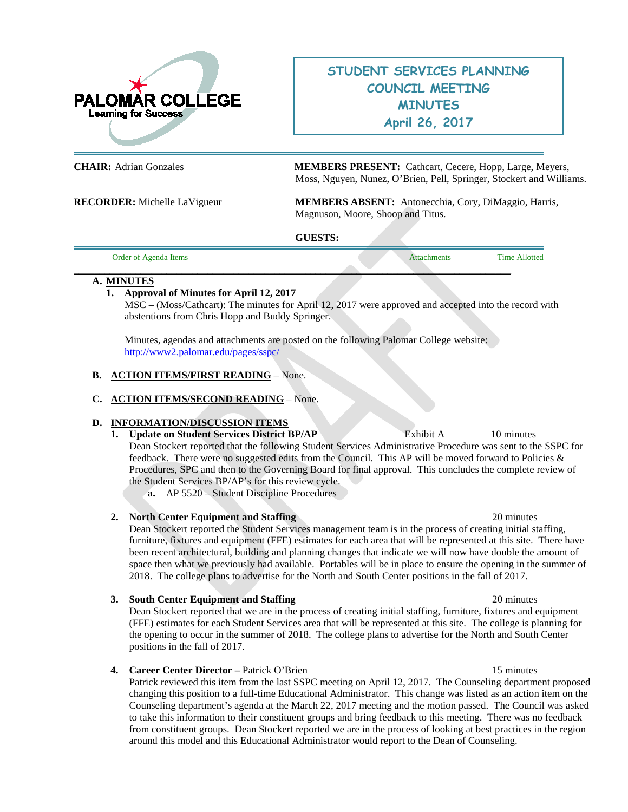

### **STUDENT SERVICES PLANNING COUNCIL MEETING MINUTES April 26, 2017**

**CHAIR:** Adrian Gonzales **MEMBERS PRESENT:** Cathcart, Cecere, Hopp, Large, Meyers, Moss, Nguyen, Nunez, O'Brien, Pell, Springer, Stockert and Williams.

**RECORDER:** Michelle LaVigueur **MEMBERS ABSENT:** Antonecchia, Cory, DiMaggio, Harris, Magnuson, Moore, Shoop and Titus.

**GUESTS:** 

| <b>Irder</b><br>ns<br>$\sim$ | ____ |  |
|------------------------------|------|--|
|                              |      |  |

#### **A. MINUTES**

### **1. Approval of Minutes for April 12, 2017**

MSC – (Moss/Cathcart): The minutes for April 12, 2017 were approved and accepted into the record with abstentions from Chris Hopp and Buddy Springer.

Minutes, agendas and attachments are posted on the following Palomar College website: <http://www2.palomar.edu/pages/sspc/>

### **B. ACTION ITEMS/FIRST READING** – None.

### **C. ACTION ITEMS/SECOND READING** – None.

### **D. INFORMATION/DISCUSSION ITEMS**

### **1. Update on Student Services District BP/AP** Exhibit A 10 minutes

Dean Stockert reported that the following Student Services Administrative Procedure was sent to the SSPC for feedback. There were no suggested edits from the Council. This AP will be moved forward to Policies  $\&$ Procedures, SPC and then to the Governing Board for final approval. This concludes the complete review of the Student Services BP/AP's for this review cycle.

**a.** AP 5520 – Student Discipline Procedures

#### **2. North Center Equipment and Staffing** 20 minutes

Dean Stockert reported the Student Services management team is in the process of creating initial staffing, furniture, fixtures and equipment (FFE) estimates for each area that will be represented at this site. There have been recent architectural, building and planning changes that indicate we will now have double the amount of space then what we previously had available. Portables will be in place to ensure the opening in the summer of 2018. The college plans to advertise for the North and South Center positions in the fall of 2017.

#### **3. South Center Equipment and Staffing** 20 minutes

Dean Stockert reported that we are in the process of creating initial staffing, furniture, fixtures and equipment (FFE) estimates for each Student Services area that will be represented at this site. The college is planning for the opening to occur in the summer of 2018. The college plans to advertise for the North and South Center positions in the fall of 2017.

#### **4. Career Center Director –** Patrick O'Brien15 minutes

Patrick reviewed this item from the last SSPC meeting on April 12, 2017. The Counseling department proposed changing this position to a full-time Educational Administrator. This change was listed as an action item on the Counseling department's agenda at the March 22, 2017 meeting and the motion passed. The Council was asked to take this information to their constituent groups and bring feedback to this meeting. There was no feedback from constituent groups. Dean Stockert reported we are in the process of looking at best practices in the region around this model and this Educational Administrator would report to the Dean of Counseling.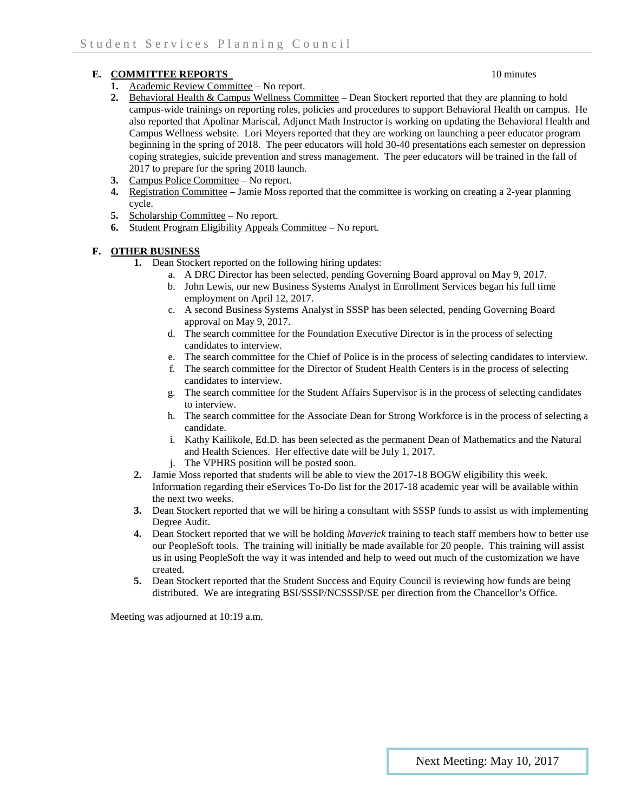### **E. COMMITTEE REPORTS** 10 minutes

#### **1.** Academic Review Committee – No report.

- 2. Behavioral Health & Campus Wellness Committee Dean Stockert reported that they are planning to hold campus-wide trainings on reporting roles, policies and procedures to support Behavioral Health on campus. He also reported that Apolinar Mariscal, Adjunct Math Instructor is working on updating the Behavioral Health and Campus Wellness website. Lori Meyers reported that they are working on launching a peer educator program beginning in the spring of 2018. The peer educators will hold 30-40 presentations each semester on depression coping strategies, suicide prevention and stress management. The peer educators will be trained in the fall of 2017 to prepare for the spring 2018 launch.
- **3.** Campus Police Committee No report.
- **4.** Registration Committee Jamie Moss reported that the committee is working on creating a 2-year planning cycle.
- **5.** Scholarship Committee No report.
- **6.** Student Program Eligibility Appeals Committee No report.

### **F. OTHER BUSINESS**

- **1.** Dean Stockert reported on the following hiring updates:
	- a. A DRC Director has been selected, pending Governing Board approval on May 9, 2017.
	- b. John Lewis, our new Business Systems Analyst in Enrollment Services began his full time employment on April 12, 2017.
	- c. A second Business Systems Analyst in SSSP has been selected, pending Governing Board approval on May 9, 2017.
	- d. The search committee for the Foundation Executive Director is in the process of selecting candidates to interview.
	- e. The search committee for the Chief of Police is in the process of selecting candidates to interview.
	- f. The search committee for the Director of Student Health Centers is in the process of selecting candidates to interview.
	- g. The search committee for the Student Affairs Supervisor is in the process of selecting candidates to interview.
	- h. The search committee for the Associate Dean for Strong Workforce is in the process of selecting a candidate.
	- i. Kathy Kailikole, Ed.D. has been selected as the permanent Dean of Mathematics and the Natural and Health Sciences. Her effective date will be July 1, 2017.
	- j. The VPHRS position will be posted soon.
- **2.** Jamie Moss reported that students will be able to view the 2017-18 BOGW eligibility this week. Information regarding their eServices To-Do list for the 2017-18 academic year will be available within the next two weeks.
- **3.** Dean Stockert reported that we will be hiring a consultant with SSSP funds to assist us with implementing Degree Audit.
- **4.** Dean Stockert reported that we will be holding *Maverick* training to teach staff members how to better use our PeopleSoft tools. The training will initially be made available for 20 people. This training will assist us in using PeopleSoft the way it was intended and help to weed out much of the customization we have created.
- **5.** Dean Stockert reported that the Student Success and Equity Council is reviewing how funds are being distributed. We are integrating BSI/SSSP/NCSSSP/SE per direction from the Chancellor's Office.

Meeting was adjourned at 10:19 a.m.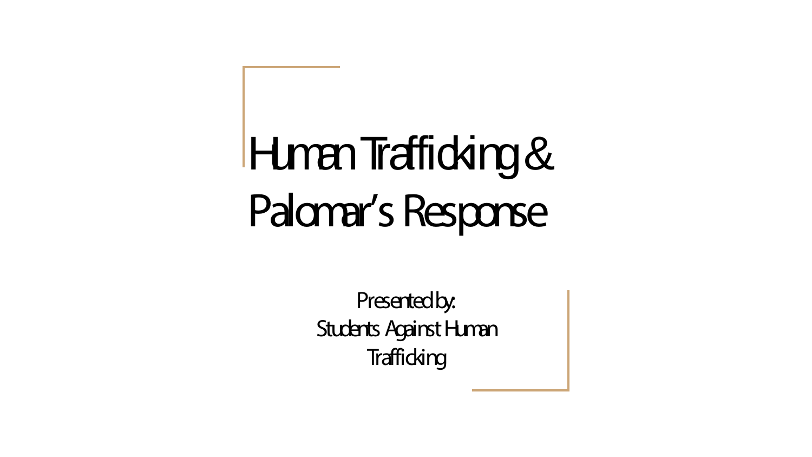# Human Trafficking & Palomar's Response

Presented by: Students Against Human **Trafficking**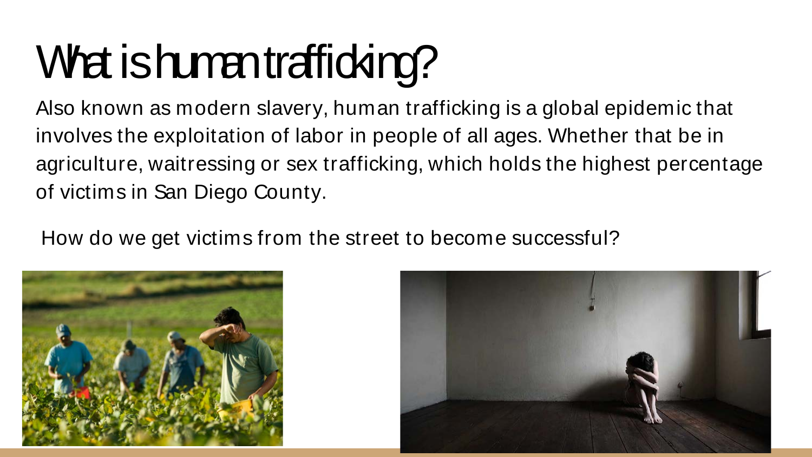## What is human trafficking?

Also known as modern slavery, human trafficking is a global epidemic that involves the exploitation of labor in people of all ages. Whether that be in agriculture, waitressing or sex trafficking, which holds the highest percentage of victims in San Diego County.

How do we get victims from the street to become successful?



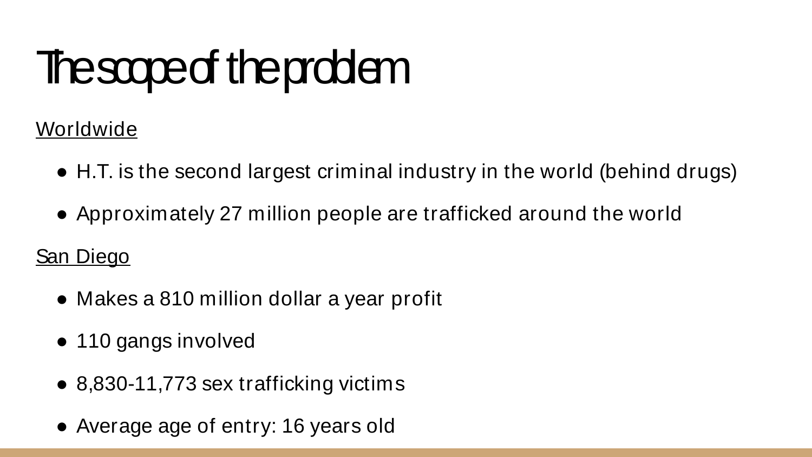## **The scope of the problem**

Worldwide

- H.T. is the second largest criminal industry in the world (behind drugs)
- Approximately 27 million people are trafficked around the world

San Diego

- Makes a 810 million dollar a year profit
- 110 gangs involved
- 8,830-11,773 sex trafficking victims
- Average age of entry: 16 years old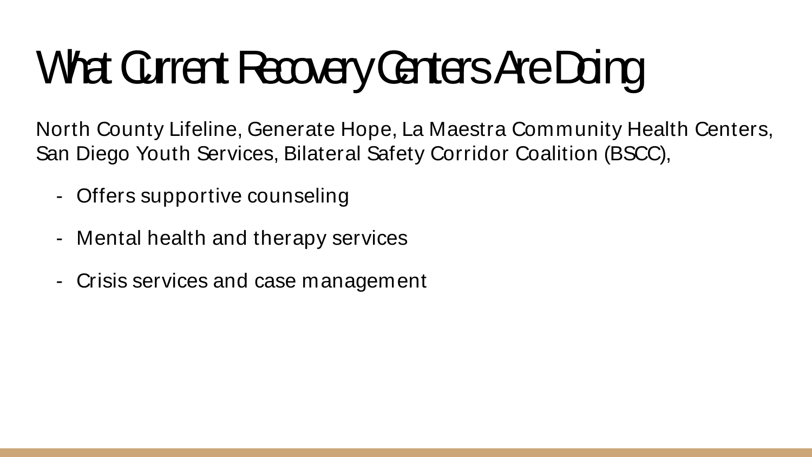# What Current Recovery Centers Are Doing

North County Lifeline, Generate Hope, La Maestra Community Health Centers, San Diego Youth Services, Bilateral Safety Corridor Coalition (BSCC),

- Offers supportive counseling
- Mental health and therapy services
- Crisis services and case management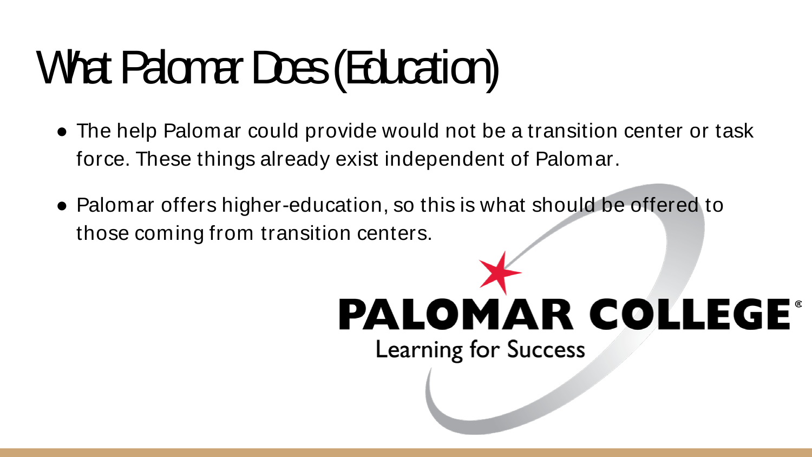## What Palomar Does (Education)

- The help Palomar could provide would not be a transition center or task force. These things already exist independent of Palomar.
- Palomar offers higher-education, so this is what should be offered to those coming from transition centers.

### **PALOMAR COLLEGE® Learning for Success**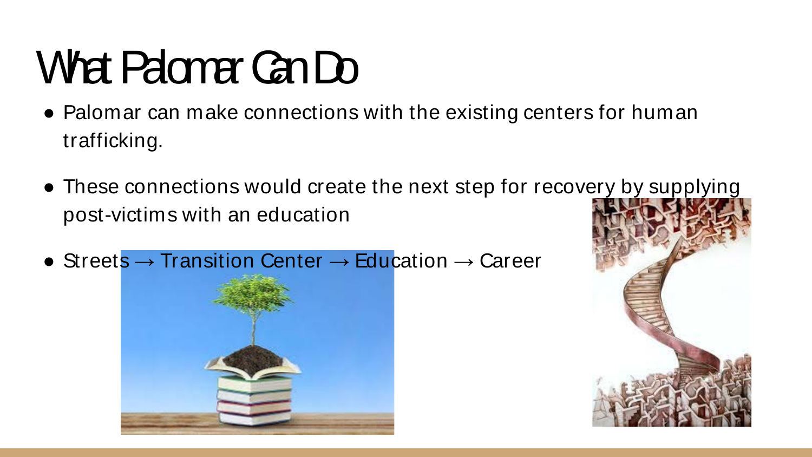## What Palomer Can Do

- Palomar can make connections with the existing centers for human trafficking.
- These connections would create the next step for recovery by supplying post-victims with an education
- Streets  $\rightarrow$  Transition Center  $\rightarrow$  Education  $\rightarrow$  Career



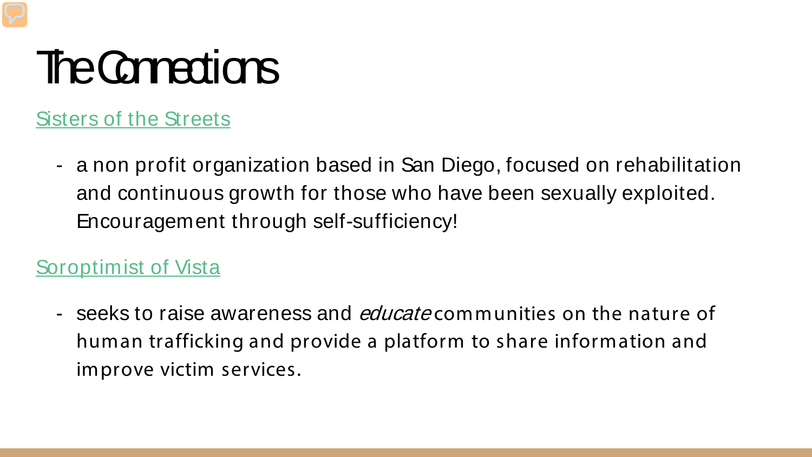## **The Connections**

[Sisters of the Streets](https://www.sistersofthestreets.org/)

- a non profit organization based in San Diego, focused on rehabilitation and continuous growth for those who have been sexually exploited. Encouragement through self-sufficiency!

[Soroptimist of Vista](http://www.soroptimistvista.org)

- seeks to raise awareness and *educate* communities on the nature of human trafficking and provide a platform to share information and improve victim services.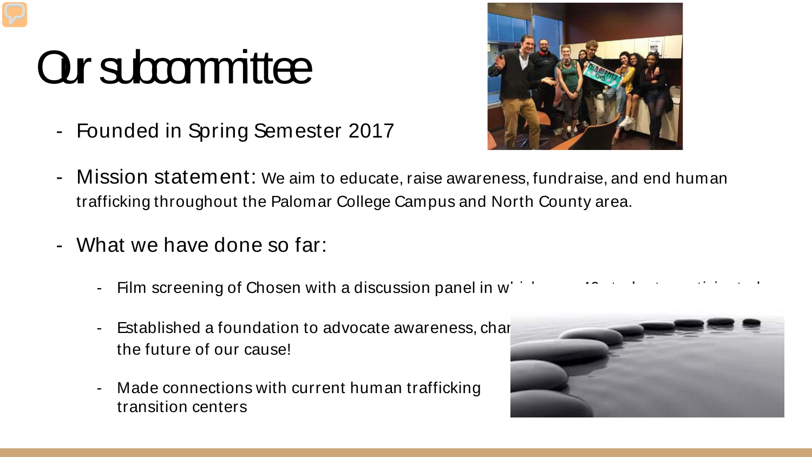## Our subcommittee

- Founded in Spring Semester 2017



- Mission statement: We aim to educate, raise awareness, fundraise, and end human trafficking throughout the Palomar College Campus and North County area.
- What we have done so far:
	- Film screening of Chosen with a discussion panel in w
	- Established a foundation to advocate awareness, changester the future of our cause!
	- Made connections with current human trafficking transition centers

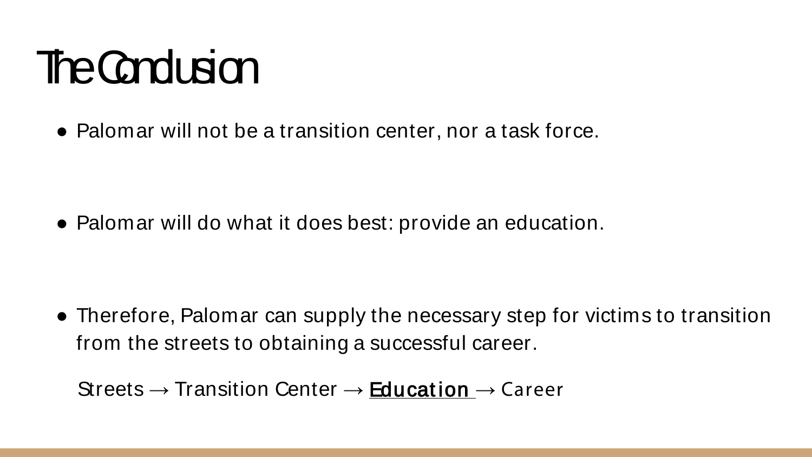## **The Conclusion**

• Palomar will not be a transition center, nor a task force.

• Palomar will do what it does best: provide an education.

• Therefore, Palomar can supply the necessary step for victims to transition from the streets to obtaining a successful career.

Streets  $\rightarrow$  Transition Center  $\rightarrow$  Education  $\rightarrow$  Career